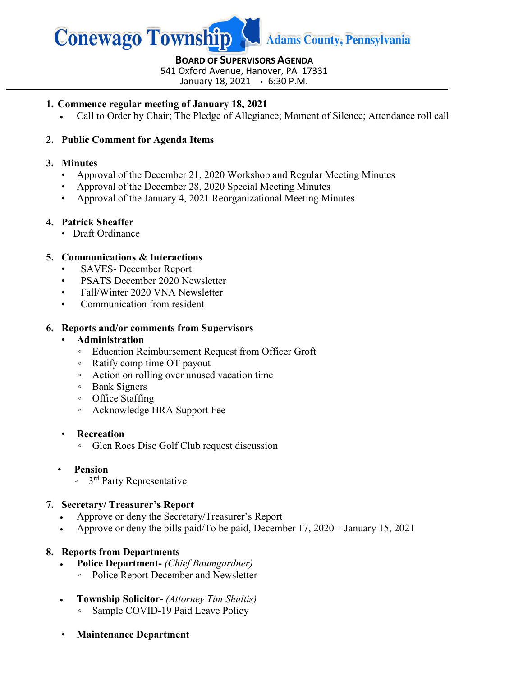

**BOARD OF SUPERVISORS AGENDA** 541 Oxford Avenue, Hanover, PA 17331

January 18, 2021 6:30 P.M.

## **1. Commence regular meeting of January 18, 2021**

• Call to Order by Chair; The Pledge of Allegiance; Moment of Silence; Attendance roll call

# **2. Public Comment for Agenda Items**

## **3. Minutes**

- Approval of the December 21, 2020 Workshop and Regular Meeting Minutes
- Approval of the December 28, 2020 Special Meeting Minutes
- Approval of the January 4, 2021 Reorganizational Meeting Minutes

# **4. Patrick Sheaffer**

• Draft Ordinance

# **5. Communications & Interactions**

- SAVES- December Report
- PSATS December 2020 Newsletter
- Fall/Winter 2020 VNA Newsletter
- Communication from resident

## **6. Reports and/or comments from Supervisors**

## • **Administration**

- Education Reimbursement Request from Officer Groft
- Ratify comp time OT payout
- Action on rolling over unused vacation time
- Bank Signers
- Office Staffing
- Acknowledge HRA Support Fee

#### • **Recreation**

- Glen Rocs Disc Golf Club request discussion
- • **Pension**
	- 3rd Party Representative

# **7. Secretary/ Treasurer's Report**

- Approve or deny the Secretary/Treasurer's Report
- Approve or deny the bills paid/To be paid, December 17, 2020 January 15, 2021

# **8. Reports from Departments**

- **Police Department-** *(Chief Baumgardner)*
	- Police Report December and Newsletter
- **Township Solicitor-** *(Attorney Tim Shultis)*
	- Sample COVID-19 Paid Leave Policy
- **Maintenance Department**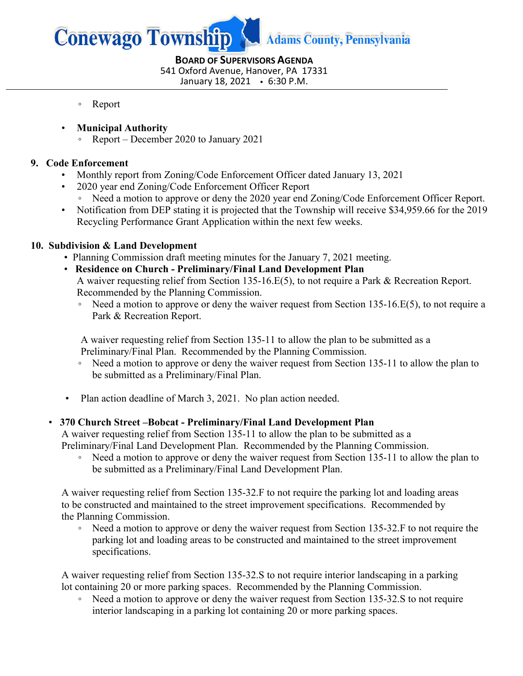

**BOARD OF SUPERVISORS AGENDA** 541 Oxford Avenue, Hanover, PA 17331 January 18, 2021 6:30 P.M.

- Report
- **Municipal Authority**
	- Report December 2020 to January 2021

# **9. Code Enforcement**

- Monthly report from Zoning/Code Enforcement Officer dated January 13, 2021
- 2020 year end Zoning/Code Enforcement Officer Report
	- Need a motion to approve or deny the 2020 year end Zoning/Code Enforcement Officer Report.
- Notification from DEP stating it is projected that the Township will receive \$34,959.66 for the 2019 Recycling Performance Grant Application within the next few weeks.

# **10. Subdivision & Land Development**

- Planning Commission draft meeting minutes for the January 7, 2021 meeting.
- **Residence on Church - Preliminary/Final Land Development Plan** A waiver requesting relief from Section 135-16.E(5), to not require a Park & Recreation Report. Recommended by the Planning Commission.
	- Need a motion to approve or deny the waiver request from Section 135-16.E(5), to not require a Park & Recreation Report.

 A waiver requesting relief from Section 135-11 to allow the plan to be submitted as a Preliminary/Final Plan.Recommended by the Planning Commission.

- Need a motion to approve or deny the waiver request from Section 135-11 to allow the plan to be submitted as a Preliminary/Final Plan.
- Plan action deadline of March 3, 2021. No plan action needed.

# • **370 Church Street –Bobcat - Preliminary/Final Land Development Plan**

A waiver requesting relief from Section 135-11 to allow the plan to be submitted as a Preliminary/Final Land Development Plan. Recommended by the Planning Commission.

◦ Need a motion to approve or deny the waiver request from Section 135-11 to allow the plan to be submitted as a Preliminary/Final Land Development Plan.

 A waiver requesting relief from Section 135-32.F to not require the parking lot and loading areas to be constructed and maintained to the street improvement specifications. Recommended by the Planning Commission.

◦ Need a motion to approve or deny the waiver request from Section 135-32.F to not require the parking lot and loading areas to be constructed and maintained to the street improvement specifications.

 A waiver requesting relief from Section 135-32.S to not require interior landscaping in a parking lot containing 20 or more parking spaces. Recommended by the Planning Commission.

◦ Need a motion to approve or deny the waiver request from Section 135-32.S to not require interior landscaping in a parking lot containing 20 or more parking spaces.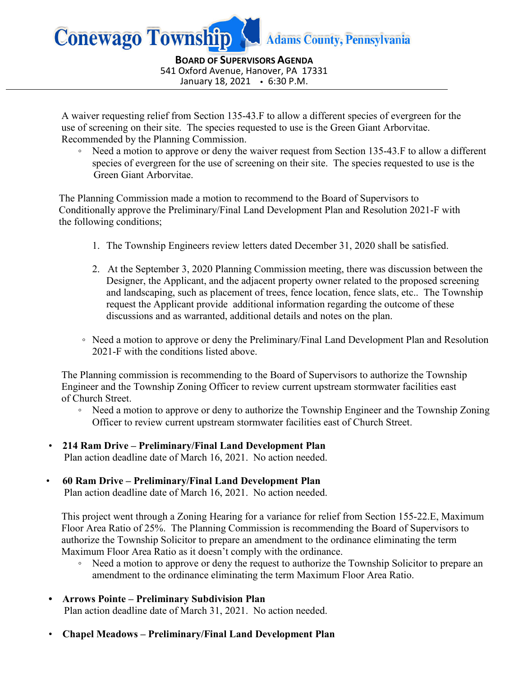

**BOARD OF SUPERVISORS AGENDA** 541 Oxford Avenue, Hanover, PA 17331 January 18, 2021 6:30 P.M.

 A waiver requesting relief from Section 135-43.F to allow a different species of evergreen for the use of screening on their site. The species requested to use is the Green Giant Arborvitae. Recommended by the Planning Commission.

◦ Need a motion to approve or deny the waiver request from Section 135-43.F to allow a different species of evergreen for the use of screening on their site. The species requested to use is the Green Giant Arborvitae.

 The Planning Commission made a motion to recommend to the Board of Supervisors to Conditionally approve the Preliminary/Final Land Development Plan and Resolution 2021-F with the following conditions;

- 1. The Township Engineers review letters dated December 31, 2020 shall be satisfied.
- 2. At the September 3, 2020 Planning Commission meeting, there was discussion between the Designer, the Applicant, and the adjacent property owner related to the proposed screening and landscaping, such as placement of trees, fence location, fence slats, etc.. The Township request the Applicant provide additional information regarding the outcome of these discussions and as warranted, additional details and notes on the plan.
- Need a motion to approve or deny the Preliminary/Final Land Development Plan and Resolution 2021-F with the conditions listed above.

The Planning commission is recommending to the Board of Supervisors to authorize the Township Engineer and the Township Zoning Officer to review current upstream stormwater facilities east of Church Street.

- Need a motion to approve or deny to authorize the Township Engineer and the Township Zoning Officer to review current upstream stormwater facilities east of Church Street.
- **214 Ram Drive – Preliminary/Final Land Development Plan** Plan action deadline date of March 16, 2021. No action needed.

# • **60 Ram Drive – Preliminary/Final Land Development Plan**

Plan action deadline date of March 16, 2021. No action needed.

This project went through a Zoning Hearing for a variance for relief from Section 155-22.E, Maximum Floor Area Ratio of 25%. The Planning Commission is recommending the Board of Supervisors to authorize the Township Solicitor to prepare an amendment to the ordinance eliminating the term Maximum Floor Area Ratio as it doesn't comply with the ordinance.

- Need a motion to approve or deny the request to authorize the Township Solicitor to prepare an amendment to the ordinance eliminating the term Maximum Floor Area Ratio.
- **Arrows Pointe – Preliminary Subdivision Plan** Plan action deadline date of March 31, 2021. No action needed.
- **Chapel Meadows – Preliminary/Final Land Development Plan**